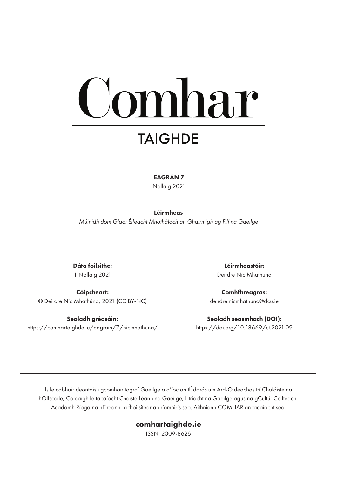# mhar **TAIGHDE**

EAGRÁN 7

Nollaig 2021

#### Léirmheas

*Múinídh dom Glao: Éifeacht Mhothálach an Ghairmigh ag Filí na Gaeilge*

Dáta foilsithe: 1 Nollaig 2021

Cóipcheart: © Deirdre Nic Mhathúna, 2021 (CC BY-NC)

Seoladh gréasáin: https://comhartaighde.ie/eagrain/7/nicmhathuna/

Léirmheastóir: Deirdre Nic Mhathúna

Comhfhreagras: deirdre.nicmhathuna@dcu.ie

Seoladh seasmhach (DOI): https://doi.org/10.18669/ct.2021.09

Is le cabhair deontais i gcomhair tograí Gaeilge a d'íoc an tÚdarás um Ard-Oideachas trí Choláiste na hOllscoile, Corcaigh le tacaíocht Choiste Léann na Gaeilge, Litríocht na Gaeilge agus na gCultúr Ceilteach, Acadamh Ríoga na hÉireann, a fhoilsítear an ríomhiris seo. Aithníonn COMHAR an tacaíocht seo.

#### comhartaighde.ie

ISSN: 2009-8626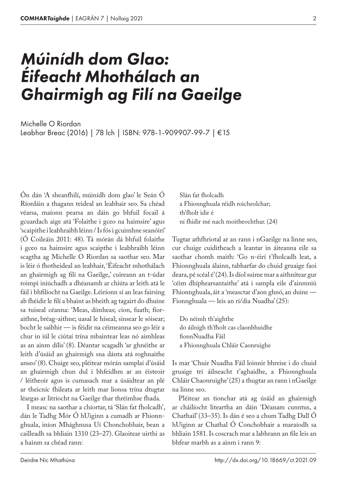## *Múinídh dom Glao: Éifeacht Mhothálach an Ghairmigh ag Filí na Gaeilge*

Leabhar Breac (2016) | 78 lch | ISBN: 978-1-909907-99-7 | €15 Michelle O Riordan

Ón dán 'A sheanfhilí, múinídh dom glao' le Seán Ó Ríordáin a thagann teideal an leabhair seo. Sa chéad véarsa, maíonn pearsa an dáin go bhfuil focail á gcuardach aige atá 'Folaithe i gceo na haimsire' agus 'scaipithe i leabhraibh léinn / Is fós i gcuimhne seanóirí' (Ó Coileáin 2011: 48). Tá mórán dá bhfuil folaithe i gceo na haimsire agus scaipthe i leabhraibh léinn scagtha ag Michelle O Riordan sa saothar seo. Mar is léir ó fhotheideal an leabhair, 'Éifeacht mhothálach an ghairmigh ag filí na Gaeilge,' cuireann an t-údar roimpi iniúchadh a dhéanamh ar chiúta ar leith atá le fáil i bhfilíocht na Gaeilge. Léiríonn sí an leas fairsing ab fhéidir le filí a bhaint as bheith ag tagairt do dhuine sa tuiseal céanna: 'Meas, dímheas; cion, fuath; fíoraithne, bréag-aithne; uasal le híseal; sinsear le sóisear; bocht le saibhir — is féidir na céimeanna seo go léir a chur in iúl le ciútaí trína mbaintear leas nó aimhleas as an ainm dílis' (8). Déantar scagadh 'ar ghnéithe ar leith d'úsáid an ghairmigh sna dánta atá roghnaithe anseo' (8). Chuige seo, pléitear mórán samplaí d'úsáid an ghairmigh chun dul i bhfeidhm ar an éisteoir / léitheoir agus is cumasach mar a úsáidtear an plé ar theicníc fhileata ar leith mar lionsa trína dtugtar léargas ar litríocht na Gaeilge thar thréimhse fhada.

I measc na saothar a chíortar, tá 'Slán fat fholcadh', dán le Tadhg Mór Ó hUiginn a cumadh ar Fhionnghuala, iníon Mhághnusa Uí Chonchobhair, bean a cailleadh sa bhliain 1310 (23–27). Glaoitear uirthi as a hainm sa chéad rann:

Slán fat fholcadh a Fhionnghuala réidh roicheolchar; th'fholt idir é ní fhidir mé nach moitheochthar. (24)

Tugtar athfhriotal ar an rann i nGaeilge na linne seo, cur chuige cuiditheach a leantar in áiteanna eile sa saothar chomh maith: 'Go n‑éirí t'fholcadh leat, a Fhionnghuala álainn, tabharfar do chuid gruaige faoi deara, pé scéal é' (24). Is díol suime mar a aithnítear gur 'céim dhíphearsantaithe' atá i sampla eile d'ainmniú Fhionnghuala, áit a 'measctar d'aon ghnó, an duine — Fionnghuala — leis an rí/dia Nuadha' (25):

Do néimh th'aighthe do áilnigh th'fholt cas claonbhuidhe fionnNuadha Fáil a Fhionnghuala Chláir Caonruighe

Is mar 'Chuir Nuadha Fáil loinnir bhreise i do chuid gruaige trí áilneacht t'aghaidhe, a Fhionnghuala Chláir Chaonruighe' (25) a thugtar an rann i nGaeilge na linne seo.

Pléitear an tionchar atá ag úsáid an ghairmigh ar cháilíocht liteartha an dáin 'Déanam cunntus, a Chathail' (33–35). Is dán é seo a chum Tadhg Dall Ó hUiginn ar Chathal Ó Conchobhair a maraíodh sa bhliain 1581. Is coscrach mar a labhrann an file leis an bhfear marbh as a ainm i rann 9:

2